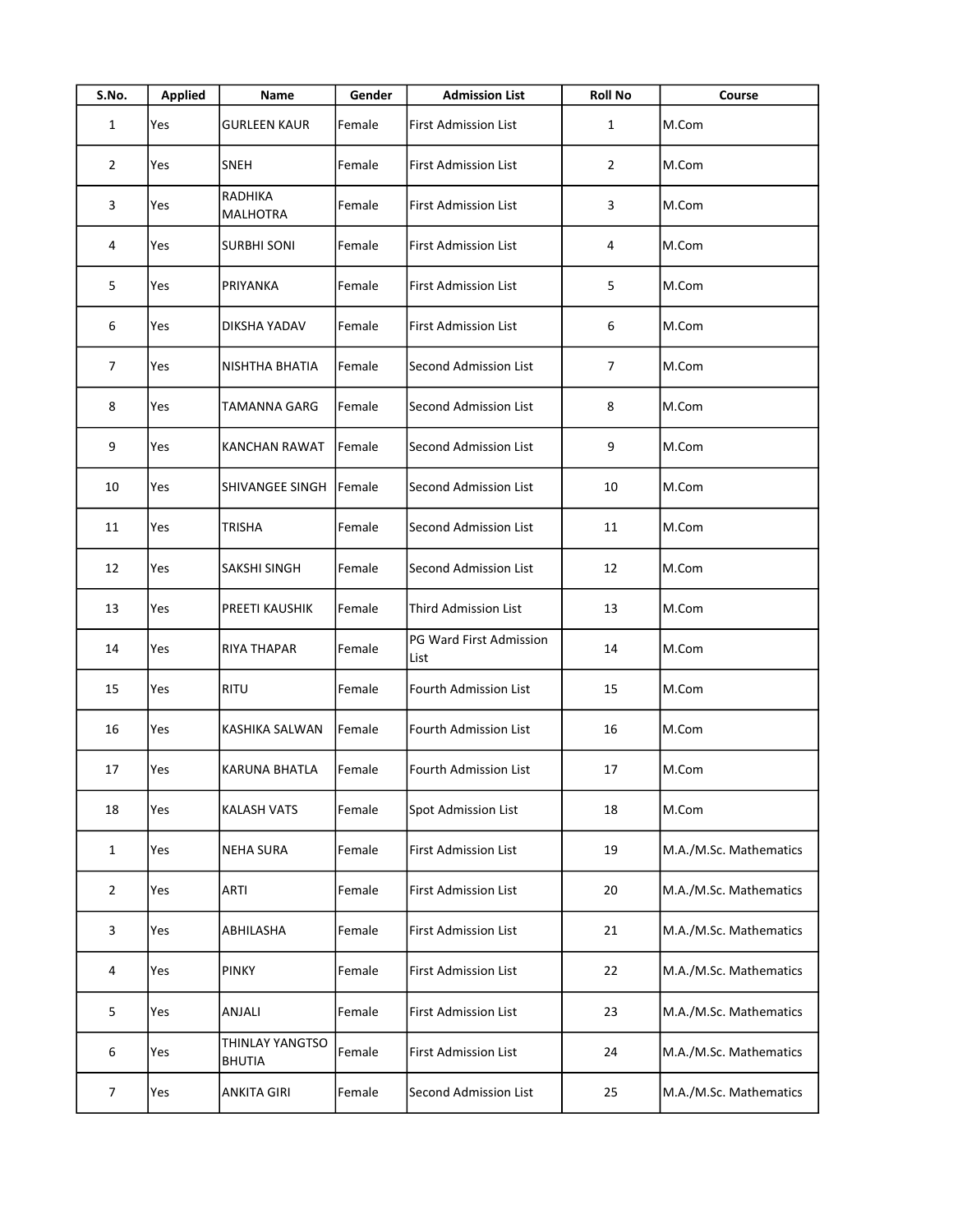| S.No.          | <b>Applied</b> | Name                             | Gender | <b>Admission List</b>           | <b>Roll No</b> | Course                 |
|----------------|----------------|----------------------------------|--------|---------------------------------|----------------|------------------------|
| $\mathbf{1}$   | Yes            | <b>GURLEEN KAUR</b>              | Female | First Admission List            | $\mathbf{1}$   | M.Com                  |
| $\overline{2}$ | Yes            | <b>SNEH</b>                      | Female | <b>First Admission List</b>     | 2              | M.Com                  |
| 3              | Yes            | RADHIKA<br><b>MALHOTRA</b>       | Female | <b>First Admission List</b>     | 3              | M.Com                  |
| 4              | Yes            | <b>SURBHI SONI</b>               | Female | First Admission List            | 4              | M.Com                  |
| 5              | Yes            | PRIYANKA                         | Female | <b>First Admission List</b>     | 5              | M.Com                  |
| 6              | Yes            | DIKSHA YADAV                     | Female | First Admission List            | 6              | M.Com                  |
| 7              | Yes            | NISHTHA BHATIA                   | Female | Second Admission List           | 7              | M.Com                  |
| 8              | Yes            | TAMANNA GARG                     | Female | <b>Second Admission List</b>    | 8              | M.Com                  |
| 9              | Yes            | KANCHAN RAWAT                    | Female | Second Admission List           | 9              | M.Com                  |
| 10             | Yes            | SHIVANGEE SINGH                  | Female | Second Admission List           | 10             | M.Com                  |
| 11             | Yes            | TRISHA                           | Female | Second Admission List           | 11             | M.Com                  |
| 12             | Yes            | SAKSHI SINGH                     | Female | Second Admission List           | 12             | M.Com                  |
| 13             | Yes            | PREETI KAUSHIK                   | Female | <b>Third Admission List</b>     | 13             | M.Com                  |
| 14             | Yes            | RIYA THAPAR                      | Female | PG Ward First Admission<br>List | 14             | M.Com                  |
| 15             | Yes            | <b>RITU</b>                      | Female | Fourth Admission List           | 15             | M.Com                  |
| 16             | Yes            | KASHIKA SALWAN                   | Female | Fourth Admission List           | 16             | M.Com                  |
| 17             | Yes            | KARUNA BHATLA                    | Female | Fourth Admission List           | 17             | M.Com                  |
| 18             | Yes            | KALASH VATS                      | Female | Spot Admission List             | 18             | M.Com                  |
| $\mathbf{1}$   | Yes            | <b>NEHA SURA</b>                 | Female | <b>First Admission List</b>     | 19             | M.A./M.Sc. Mathematics |
| $\overline{2}$ | Yes            | <b>ARTI</b>                      | Female | <b>First Admission List</b>     | 20             | M.A./M.Sc. Mathematics |
| 3              | Yes            | ABHILASHA                        | Female | <b>First Admission List</b>     | 21             | M.A./M.Sc. Mathematics |
| 4              | Yes            | <b>PINKY</b>                     | Female | <b>First Admission List</b>     | 22             | M.A./M.Sc. Mathematics |
| 5              | Yes            | ANJALI                           | Female | <b>First Admission List</b>     | 23             | M.A./M.Sc. Mathematics |
| 6              | Yes            | THINLAY YANGTSO<br><b>BHUTIA</b> | Female | <b>First Admission List</b>     | 24             | M.A./M.Sc. Mathematics |
| $\overline{7}$ | Yes            | ANKITA GIRI                      | Female | Second Admission List           | 25             | M.A./M.Sc. Mathematics |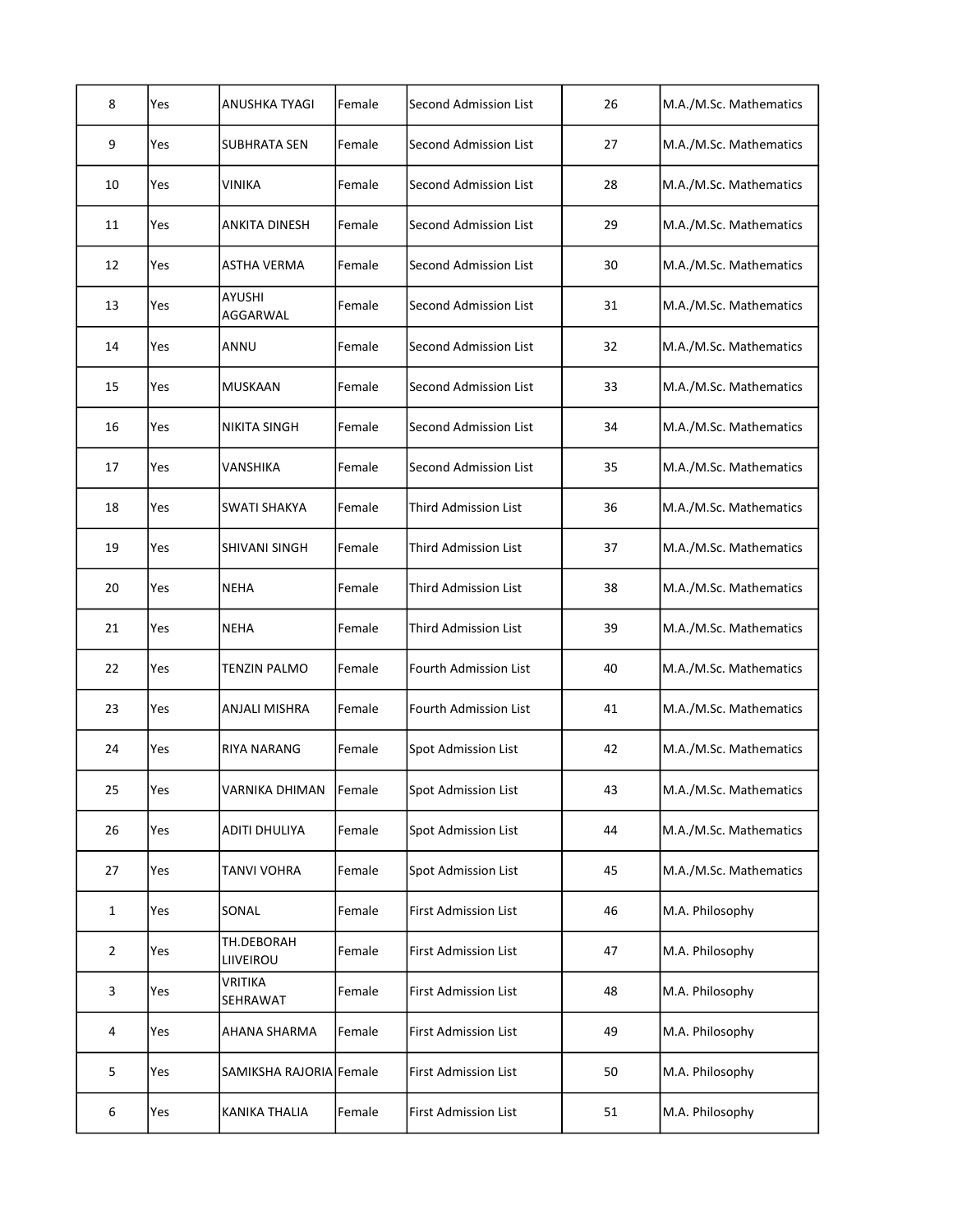| 8              | Yes | <b>ANUSHKA TYAGI</b>      | Female | <b>Second Admission List</b> | 26 | M.A./M.Sc. Mathematics |
|----------------|-----|---------------------------|--------|------------------------------|----|------------------------|
| 9              | Yes | <b>SUBHRATA SEN</b>       | Female | <b>Second Admission List</b> | 27 | M.A./M.Sc. Mathematics |
| 10             | Yes | VINIKA                    | Female | <b>Second Admission List</b> | 28 | M.A./M.Sc. Mathematics |
| 11             | Yes | ANKITA DINESH             | Female | Second Admission List        | 29 | M.A./M.Sc. Mathematics |
| 12             | Yes | ASTHA VERMA               | Female | Second Admission List        | 30 | M.A./M.Sc. Mathematics |
| 13             | Yes | <b>AYUSHI</b><br>AGGARWAL | Female | Second Admission List        | 31 | M.A./M.Sc. Mathematics |
| 14             | Yes | ANNU                      | Female | <b>Second Admission List</b> | 32 | M.A./M.Sc. Mathematics |
| 15             | Yes | <b>MUSKAAN</b>            | Female | <b>Second Admission List</b> | 33 | M.A./M.Sc. Mathematics |
| 16             | Yes | <b>NIKITA SINGH</b>       | Female | <b>Second Admission List</b> | 34 | M.A./M.Sc. Mathematics |
| 17             | Yes | VANSHIKA                  | Female | <b>Second Admission List</b> | 35 | M.A./M.Sc. Mathematics |
| 18             | Yes | SWATI SHAKYA              | Female | Third Admission List         | 36 | M.A./M.Sc. Mathematics |
| 19             | Yes | SHIVANI SINGH             | Female | <b>Third Admission List</b>  | 37 | M.A./M.Sc. Mathematics |
| 20             | Yes | <b>NEHA</b>               | Female | <b>Third Admission List</b>  | 38 | M.A./M.Sc. Mathematics |
| 21             | Yes | <b>NEHA</b>               | Female | <b>Third Admission List</b>  | 39 | M.A./M.Sc. Mathematics |
| 22             | Yes | <b>TENZIN PALMO</b>       | Female | Fourth Admission List        | 40 | M.A./M.Sc. Mathematics |
| 23             | Yes | ANJALI MISHRA             | Female | Fourth Admission List        | 41 | M.A./M.Sc. Mathematics |
| 24             | Yes | RIYA NARANG               | Female | <b>Spot Admission List</b>   | 42 | M.A./M.Sc. Mathematics |
| 25             | Yes | VARNIKA DHIMAN            | Female | Spot Admission List          | 43 | M.A./M.Sc. Mathematics |
| 26             | Yes | <b>ADITI DHULIYA</b>      | Female | Spot Admission List          | 44 | M.A./M.Sc. Mathematics |
| 27             | Yes | <b>TANVI VOHRA</b>        | Female | Spot Admission List          | 45 | M.A./M.Sc. Mathematics |
| $\mathbf{1}$   | Yes | SONAL                     | Female | First Admission List         | 46 | M.A. Philosophy        |
| $\overline{2}$ | Yes | TH.DEBORAH<br>LIIVEIROU   | Female | <b>First Admission List</b>  | 47 | M.A. Philosophy        |
| 3              | Yes | VRITIKA<br>SEHRAWAT       | Female | First Admission List         | 48 | M.A. Philosophy        |
| 4              | Yes | <b>AHANA SHARMA</b>       | Female | First Admission List         | 49 | M.A. Philosophy        |
| 5              | Yes | SAMIKSHA RAJORIA Female   |        | First Admission List         | 50 | M.A. Philosophy        |
| 6              | Yes | KANIKA THALIA             | Female | <b>First Admission List</b>  | 51 | M.A. Philosophy        |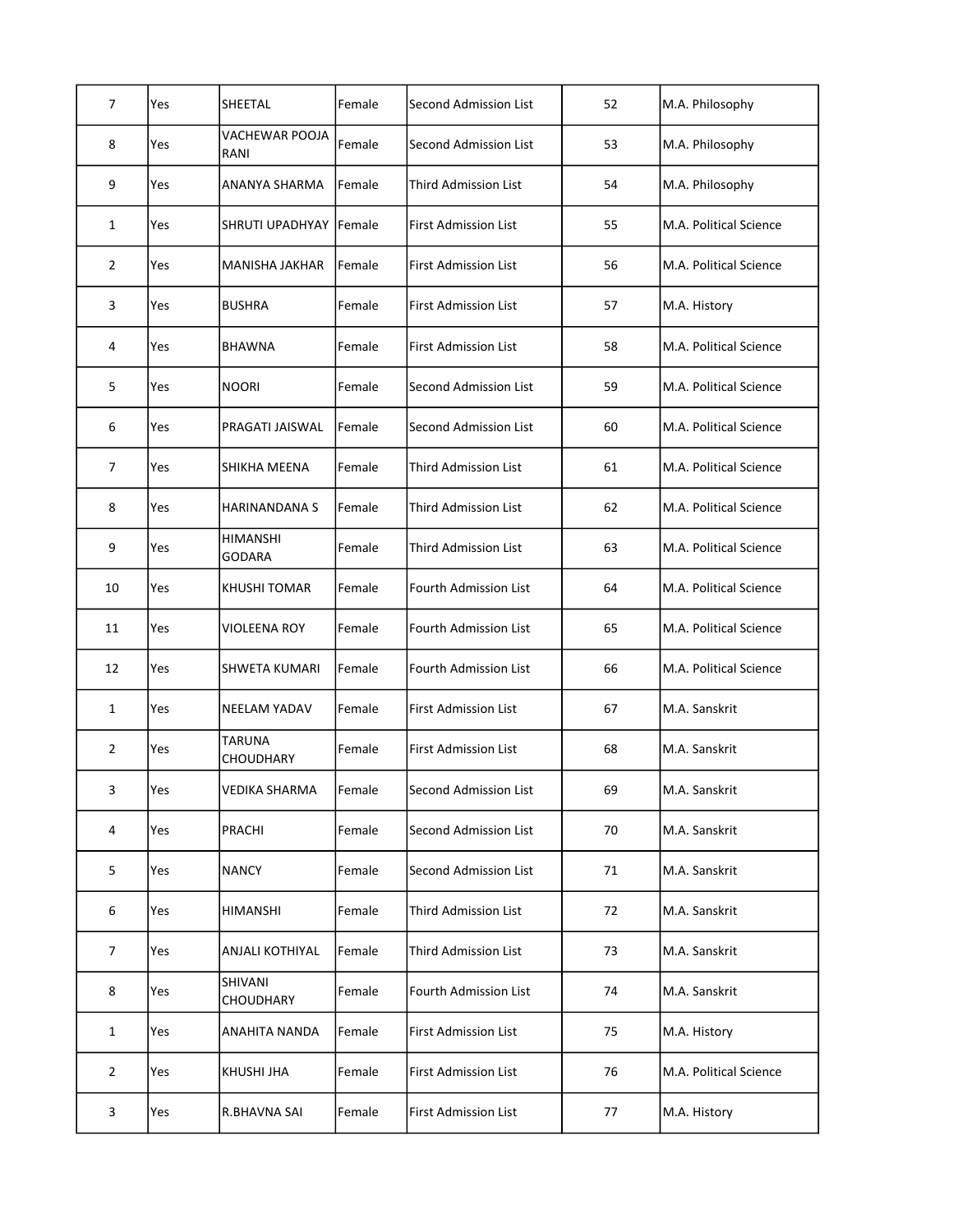| 7              | Yes | SHEETAL                   | Female | Second Admission List        | 52 | M.A. Philosophy        |
|----------------|-----|---------------------------|--------|------------------------------|----|------------------------|
| 8              | Yes | VACHEWAR POOJA<br>RANI    | Female | Second Admission List        | 53 | M.A. Philosophy        |
| 9              | Yes | ANANYA SHARMA             | Female | <b>Third Admission List</b>  | 54 | M.A. Philosophy        |
| $\mathbf{1}$   | Yes | <b>SHRUTI UPADHYAY</b>    | Female | <b>First Admission List</b>  | 55 | M.A. Political Science |
| $\overline{2}$ | Yes | MANISHA JAKHAR            | Female | First Admission List         | 56 | M.A. Political Science |
| 3              | Yes | <b>BUSHRA</b>             | Female | <b>First Admission List</b>  | 57 | M.A. History           |
| 4              | Yes | <b>BHAWNA</b>             | Female | <b>First Admission List</b>  | 58 | M.A. Political Science |
| 5              | Yes | <b>NOORI</b>              | Female | Second Admission List        | 59 | M.A. Political Science |
| 6              | Yes | PRAGATI JAISWAL           | Female | Second Admission List        | 60 | M.A. Political Science |
| $\overline{7}$ | Yes | SHIKHA MEENA              | Female | Third Admission List         | 61 | M.A. Political Science |
| 8              | Yes | <b>HARINANDANA S</b>      | Female | <b>Third Admission List</b>  | 62 | M.A. Political Science |
| 9              | Yes | HIMANSHI<br><b>GODARA</b> | Female | <b>Third Admission List</b>  | 63 | M.A. Political Science |
| 10             | Yes | KHUSHI TOMAR              | Female | Fourth Admission List        | 64 | M.A. Political Science |
| 11             | Yes | <b>VIOLEENA ROY</b>       | Female | <b>Fourth Admission List</b> | 65 | M.A. Political Science |
| 12             | Yes | <b>SHWETA KUMARI</b>      | Female | <b>Fourth Admission List</b> | 66 | M.A. Political Science |
| $\mathbf{1}$   | Yes | <b>NEELAM YADAV</b>       | Female | <b>First Admission List</b>  | 67 | M.A. Sanskrit          |
| 2              | Yes | TARUNA<br>CHOUDHARY       | Female | <b>First Admission List</b>  | 68 | M.A. Sanskrit          |
| 3              | Yes | <b>VEDIKA SHARMA</b>      | Female | Second Admission List        | 69 | M.A. Sanskrit          |
| 4              | Yes | PRACHI                    | Female | <b>Second Admission List</b> | 70 | M.A. Sanskrit          |
| 5              | Yes | <b>NANCY</b>              | Female | <b>Second Admission List</b> | 71 | M.A. Sanskrit          |
| 6              | Yes | <b>HIMANSHI</b>           | Female | <b>Third Admission List</b>  | 72 | M.A. Sanskrit          |
| 7              | Yes | ANJALI KOTHIYAL           | Female | Third Admission List         | 73 | M.A. Sanskrit          |
| 8              | Yes | SHIVANI<br>CHOUDHARY      | Female | Fourth Admission List        | 74 | M.A. Sanskrit          |
| $\mathbf{1}$   | Yes | ANAHITA NANDA             | Female | <b>First Admission List</b>  | 75 | M.A. History           |
| $\overline{2}$ | Yes | KHUSHI JHA                | Female | First Admission List         | 76 | M.A. Political Science |
| 3              | Yes | R.BHAVNA SAI              | Female | First Admission List         | 77 | M.A. History           |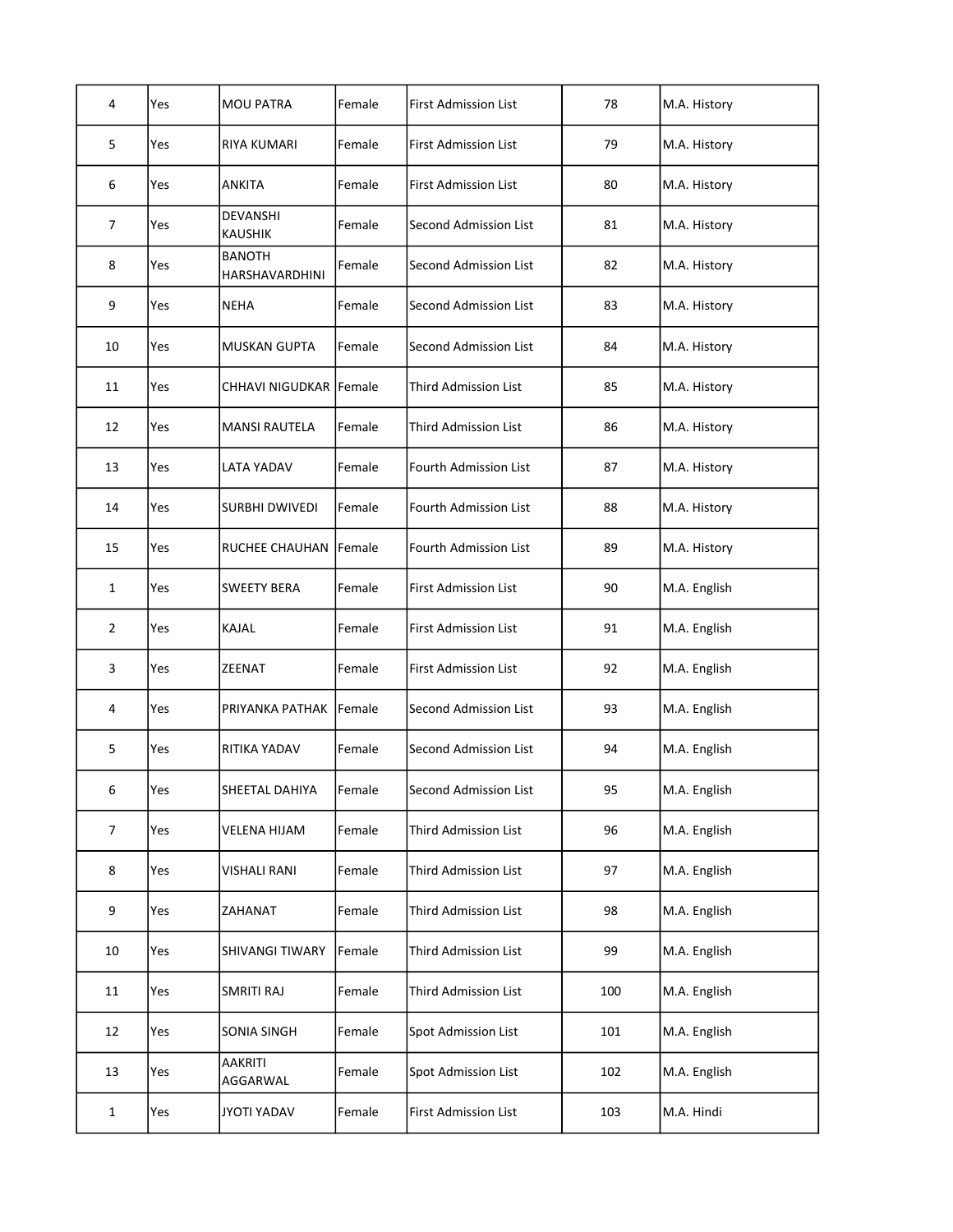| 4              | Yes | <b>MOU PATRA</b>                       | Female | <b>First Admission List</b>  | 78  | M.A. History |
|----------------|-----|----------------------------------------|--------|------------------------------|-----|--------------|
| 5              | Yes | RIYA KUMARI                            | Female | First Admission List         | 79  | M.A. History |
| 6              | Yes | <b>ANKITA</b>                          | Female | <b>First Admission List</b>  | 80  | M.A. History |
| $\overline{7}$ | Yes | DEVANSHI<br><b>KAUSHIK</b>             | Female | Second Admission List        | 81  | M.A. History |
| 8              | Yes | <b>BANOTH</b><br><b>HARSHAVARDHINI</b> | Female | Second Admission List        | 82  | M.A. History |
| 9              | Yes | <b>NEHA</b>                            | Female | <b>Second Admission List</b> | 83  | M.A. History |
| 10             | Yes | <b>MUSKAN GUPTA</b>                    | Female | Second Admission List        | 84  | M.A. History |
| 11             | Yes | CHHAVI NIGUDKAR Female                 |        | <b>Third Admission List</b>  | 85  | M.A. History |
| 12             | Yes | <b>MANSI RAUTELA</b>                   | Female | <b>Third Admission List</b>  | 86  | M.A. History |
| 13             | Yes | LATA YADAV                             | Female | <b>Fourth Admission List</b> | 87  | M.A. History |
| 14             | Yes | <b>SURBHI DWIVEDI</b>                  | Female | Fourth Admission List        | 88  | M.A. History |
| 15             | Yes | <b>RUCHEE CHAUHAN</b>                  | Female | Fourth Admission List        | 89  | M.A. History |
| $\mathbf{1}$   | Yes | <b>SWEETY BERA</b>                     | Female | <b>First Admission List</b>  | 90  | M.A. English |
| $\overline{2}$ | Yes | KAJAL                                  | Female | <b>First Admission List</b>  | 91  | M.A. English |
| 3              | Yes | <b>ZEENAT</b>                          | Female | <b>First Admission List</b>  | 92  | M.A. English |
| 4              | Yes | PRIYANKA PATHAK Female                 |        | Second Admission List        | 93  | M.A. English |
| 5              | Yes | RITIKA YADAV                           | Female | Second Admission List        | 94  | M.A. English |
| 6              | Yes | SHEETAL DAHIYA                         | Female | Second Admission List        | 95  | M.A. English |
| $\overline{7}$ | Yes | <b>VELENA HIJAM</b>                    | Female | <b>Third Admission List</b>  | 96  | M.A. English |
| 8              | Yes | VISHALI RANI                           | Female | <b>Third Admission List</b>  | 97  | M.A. English |
| 9              |     |                                        |        |                              |     |              |
|                | Yes | ZAHANAT                                | Female | <b>Third Admission List</b>  | 98  | M.A. English |
| 10             | Yes | <b>SHIVANGI TIWARY</b>                 | Female | Third Admission List         | 99  | M.A. English |
| 11             | Yes | <b>SMRITI RAJ</b>                      | Female | <b>Third Admission List</b>  | 100 | M.A. English |
| 12             | Yes | SONIA SINGH                            | Female | Spot Admission List          | 101 | M.A. English |
| 13             | Yes | <b>AAKRITI</b><br>AGGARWAL             | Female | <b>Spot Admission List</b>   | 102 | M.A. English |